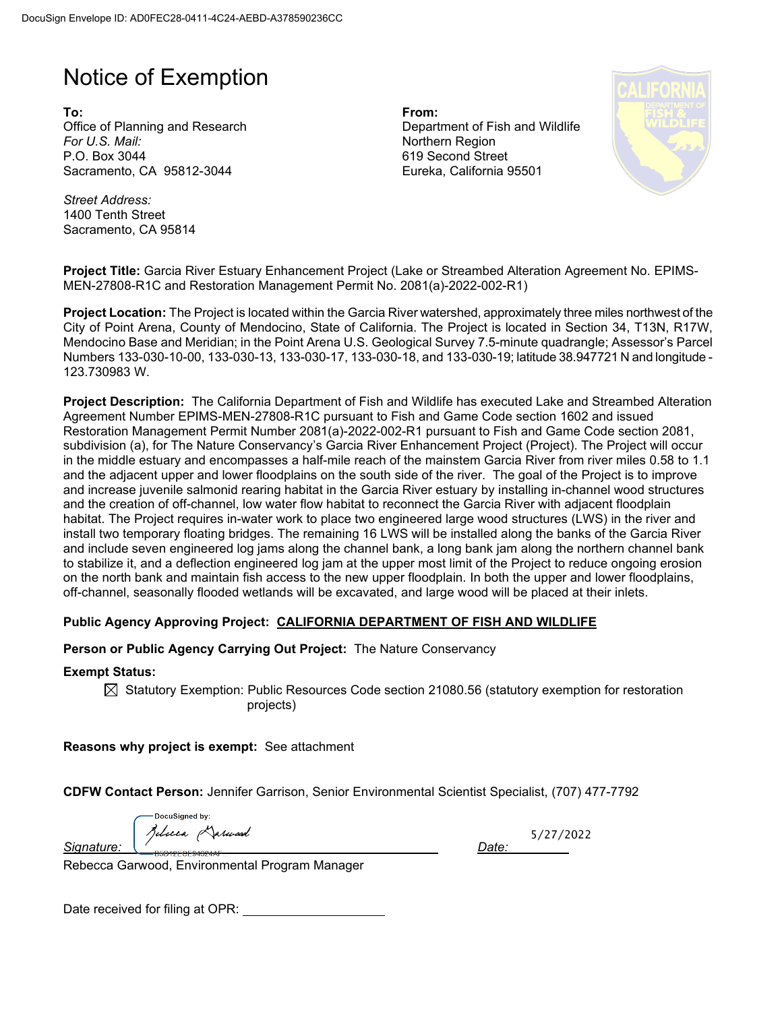## Notice of Exemption

**To: From:**  Office of Planning and Research Department of Fish and Wildlife *For U.S. Mail:* Northern Region P.O. Box 3044 Sacramento, CA 95812-3044

619 Second Street Eureka, California 95501



*Street Address:* 1400 Tenth Street Sacramento, CA 95814

**Project Title:** Garcia River Estuary Enhancement Project (Lake or Streambed Alteration Agreement No. EPIMS-MEN-27808-R1C and Restoration Management Permit No. 2081(a)-2022-002-R1)

**Project Location:** The Project is located within the Garcia River watershed, approximately three miles northwest of the City of Point Arena, County of Mendocino, State of California. The Project is located in Section 34, T13N, R17W, Mendocino Base and Meridian; in the Point Arena U.S. Geological Survey 7.5-minute quadrangle; Assessor's Parcel Numbers 133-030-10-00, 133-030-13, 133-030-17, 133-030-18, and 133-030-19; latitude 38.947721 N and longitude - 123.730983 W.

**Project Description:** The California Department of Fish and Wildlife has executed Lake and Streambed Alteration Agreement Number EPIMS-MEN-27808-R1C pursuant to Fish and Game Code section 1602 and issued Restoration Management Permit Number 2081(a)-2022-002-R1 pursuant to Fish and Game Code section 2081, subdivision (a), for The Nature Conservancy's Garcia River Enhancement Project (Project). The Project will occur in the middle estuary and encompasses a half-mile reach of the mainstem Garcia River from river miles 0.58 to 1.1 and the adjacent upper and lower floodplains on the south side of the river. The goal of the Project is to improve and increase juvenile salmonid rearing habitat in the Garcia River estuary by installing in-channel wood structures and the creation of off-channel, low water flow habitat to reconnect the Garcia River with adjacent floodplain habitat. The Project requires in-water work to place two engineered large wood structures (LWS) in the river and install two temporary floating bridges. The remaining 16 LWS will be installed along the banks of the Garcia River and include seven engineered log jams along the channel bank, a long bank jam along the northern channel bank to stabilize it, and a deflection engineered log jam at the upper most limit of the Project to reduce ongoing erosion on the north bank and maintain fish access to the new upper floodplain. In both the upper and lower floodplains, off-channel, seasonally flooded wetlands will be excavated, and large wood will be placed at their inlets.

## **Public Agency Approving Project: CALIFORNIA DEPARTMENT OF FISH AND WILDLIFE**

**Person or Public Agency Carrying Out Project:** The Nature Conservancy

**Exempt Status:**

 $\boxtimes$  Statutory Exemption: Public Resources Code section 21080.56 (statutory exemption for restoration projects)

**Reasons why project is exempt:** See attachment

**CDFW Contact Person:** Jennifer Garrison, Senior Environmental Scientist Specialist, (707) 477-7792

DocuSianed by: *Signature: Date:* 

5/27/2022

Rebecca Garwood, Environmental Program Manager

Date received for filing at OPR: